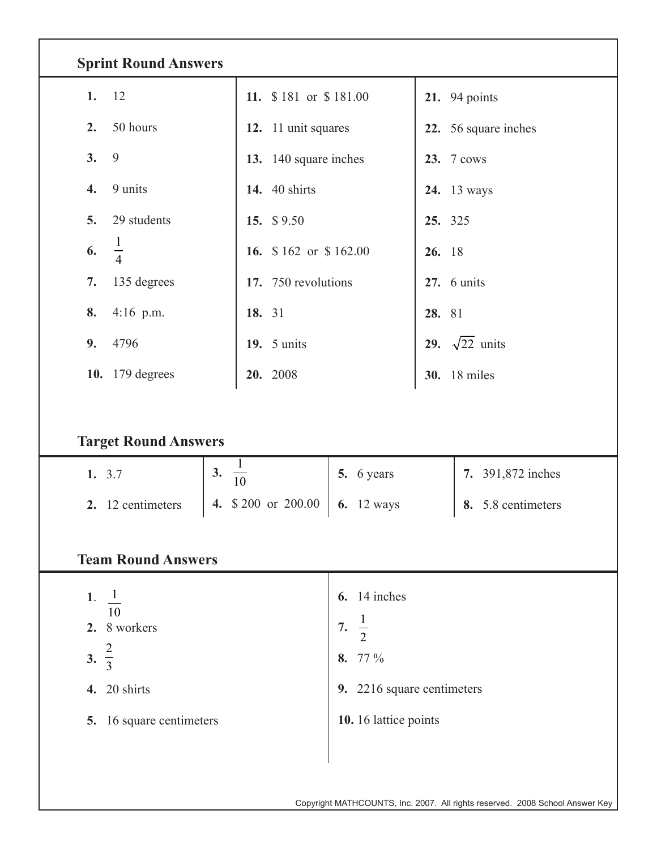| <b>Sprint Round Answers</b> |                       |                            |                                 |  |  |  |  |  |  |  |  |
|-----------------------------|-----------------------|----------------------------|---------------------------------|--|--|--|--|--|--|--|--|
| 1.<br>12                    | 11. \$181 or \$181.00 |                            | <b>21.</b> 94 points            |  |  |  |  |  |  |  |  |
| 50 hours<br>2.              | 12. 11 unit squares   |                            | 22. 56 square inches            |  |  |  |  |  |  |  |  |
| 9<br>3.                     | 13. 140 square inches |                            | 23. 7 cows                      |  |  |  |  |  |  |  |  |
| 9 units<br>4.               | <b>14.</b> 40 shirts  |                            | <b>24.</b> 13 ways              |  |  |  |  |  |  |  |  |
| 29 students<br>5.           | 15. \$9.50            |                            | 25. 325                         |  |  |  |  |  |  |  |  |
| $\frac{1}{4}$<br>6.         | 16. \$162 or \$162.00 |                            | 26. 18                          |  |  |  |  |  |  |  |  |
| 135 degrees<br>7.           | 17. 750 revolutions   |                            | $27.6$ units                    |  |  |  |  |  |  |  |  |
| $4:16$ p.m.<br>8.           | 18. 31                |                            | 28. 81                          |  |  |  |  |  |  |  |  |
| 9.<br>4796                  | <b>19.</b> 5 units    |                            | $\sqrt{22}$ units<br><b>29.</b> |  |  |  |  |  |  |  |  |
| 10. 179 degrees             | 20. 2008              |                            | <b>30.</b> 18 miles             |  |  |  |  |  |  |  |  |
| <b>Target Round Answers</b> |                       |                            |                                 |  |  |  |  |  |  |  |  |
| 1. 3.7                      | $\frac{1}{10}$<br>3.  | 5. 6 years                 | 7. 391,872 inches               |  |  |  |  |  |  |  |  |
| 2. 12 centimeters<br>4.     | \$200 or 200.00       | <b>6.</b> 12 ways          | 8. 5.8 centimeters              |  |  |  |  |  |  |  |  |
| <b>Team Round Answers</b>   |                       |                            |                                 |  |  |  |  |  |  |  |  |
| 1. $\frac{1}{2}$            |                       | $6.14$ inches              |                                 |  |  |  |  |  |  |  |  |
| 10<br>2. 8 workers          |                       | 7. $\frac{1}{2}$           |                                 |  |  |  |  |  |  |  |  |
| 3. $\frac{2}{3}$            |                       | 8. 77 %                    |                                 |  |  |  |  |  |  |  |  |
| 4. 20 shirts                |                       | 9. 2216 square centimeters |                                 |  |  |  |  |  |  |  |  |
| 5. 16 square centimeters    |                       | 10. 16 lattice points      |                                 |  |  |  |  |  |  |  |  |
|                             |                       |                            |                                 |  |  |  |  |  |  |  |  |
|                             |                       |                            |                                 |  |  |  |  |  |  |  |  |